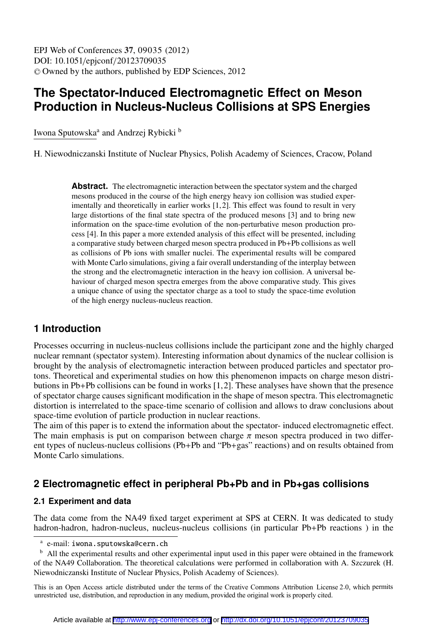## **The Spectator-Induced Electromagnetic Effect on Meson Production in Nucleus-Nucleus Collisions at SPS Energies**

Iwona Sputowska<sup>a</sup> and Andrzej Rybicki <sup>b</sup>

H. Niewodniczanski Institute of Nuclear Physics, Polish Academy of Sciences, Cracow, Poland

Abstract. The electromagnetic interaction between the spectator system and the charged mesons produced in the course of the high energy heavy ion collision was studied experimentally and theoretically in earlier works [1,2]. This effect was found to result in very large distortions of the final state spectra of the produced mesons [3] and to bring new information on the space-time evolution of the non-perturbative meson production process [4]. In this paper a more extended analysis of this effect will be presented, including a comparative study between charged meson spectra produced in Pb+Pb collisions as well as collisions of Pb ions with smaller nuclei. The experimental results will be compared with Monte Carlo simulations, giving a fair overall understanding of the interplay between the strong and the electromagnetic interaction in the heavy ion collision. A universal behaviour of charged meson spectra emerges from the above comparative study. This gives a unique chance of using the spectator charge as a tool to study the space-time evolution of the high energy nucleus-nucleus reaction.

## **1 Introduction**

Processes occurring in nucleus-nucleus collisions include the participant zone and the highly charged nuclear remnant (spectator system). Interesting information about dynamics of the nuclear collision is brought by the analysis of electromagnetic interaction between produced particles and spectator protons. Theoretical and experimental studies on how this phenomenon impacts on charge meson distributions in Pb+Pb collisions can be found in works  $[1, 2]$ . These analyses have shown that the presence of spectator charge causes significant modification in the shape of meson spectra. This electromagnetic distortion is interrelated to the space-time scenario of collision and allows to draw conclusions about space-time evolution of particle production in nuclear reactions.

The aim of this paper is to extend the information about the spectator- induced electromagnetic effect. The main emphasis is put on comparison between charge  $\pi$  meson spectra produced in two different types of nucleus-nucleus collisions (Pb+Pb and "Pb+gas" reactions) and on results obtained from Monte Carlo simulations.

## **2 Electromagnetic effect in peripheral Pb+Pb and in Pb+gas collisions**

#### **2.1 Experiment and data**

The data come from the NA49 fixed target experiment at SPS at CERN. It was dedicated to study hadron-hadron, hadron-nucleus, nucleus-nucleus collisions (in particular Pb+Pb reactions) in the

This is an Open Access article distributed under the terms of the Creative Commons Attribution License 2.0, which permits unrestricted use, distribution, and reproduction in any medium, provided the original work is properly cited.

a e-mail: iwona.sputowska@cern.ch

<sup>&</sup>lt;sup>b</sup> All the experimental results and other experimental input used in this paper were obtained in the framework of the NA49 Collaboration. The theoretical calculations were performed in collaboration with A. Szczurek (H. Niewodniczanski Institute of Nuclear Physics, Polish Academy of Sciences).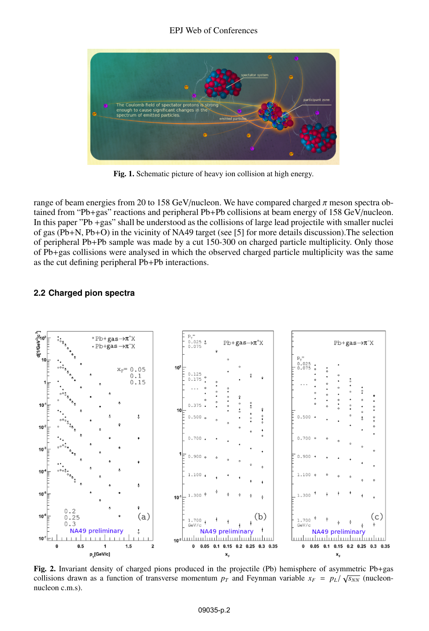#### EPJ Web of Conferences



Fig. 1. Schematic picture of heavy ion collision at high energy.

range of beam energies from 20 to 158 GeV/nucleon. We have compared charged  $\pi$  meson spectra obtained from "Pb+gas" reactions and peripheral Pb+Pb collisions at beam energy of 158 GeV/nucleon. In this paper "Pb +gas" shall be understood as the collisions of large lead projectile with smaller nuclei of gas (Pb+N, Pb+O) in the vicinity of NA49 target (see [5] for more details discussion).The selection of peripheral Pb+Pb sample was made by a cut 150-300 on charged particle multiplicity. Only those of Pb+gas collisions were analysed in which the observed charged particle multiplicity was the same as the cut defining peripheral Pb+Pb interactions.

#### **2.2 Charged pion spectra**



Fig. 2. Invariant density of charged pions produced in the projectile (Pb) hemisphere of asymmetric Pb+gas collisions drawn as a function of transverse momentum  $p_T$  and Feynman variable  $x_F = p_L / \sqrt{s_{NN}}$  (nucleon-<br>pucleon  $c$  m s) nucleon c.m.s).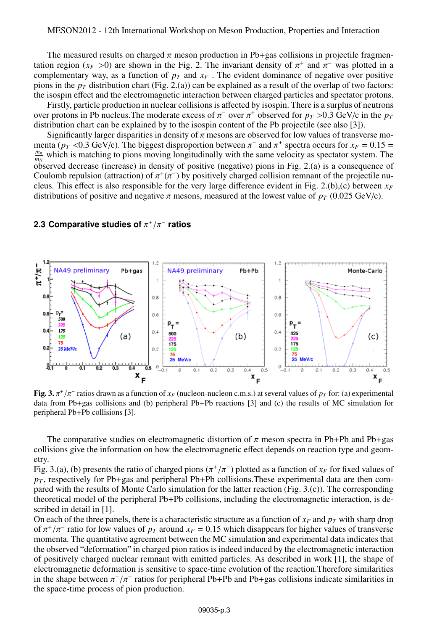The measured results on charged  $\pi$  meson production in Pb+gas collisions in projectile fragmentation region ( $x_F > 0$ ) are shown in the Fig. 2. The invariant density of  $\pi^+$  and  $\pi^-$  was plotted in a complementary way as a function of  $p_T$  and  $x_F$ . The evident dominance of negative over positive complementary way, as a function of  $p<sub>T</sub>$  and  $x<sub>F</sub>$ . The evident dominance of negative over positive pions in the  $p_T$  distribution chart (Fig. 2.(a)) can be explained as a result of the overlap of two factors: the isospin effect and the electromagnetic interaction between charged particles and spectator protons.

Firstly, particle production in nuclear collisions is affected by isospin. There is a surplus of neutrons over protons in Pb nucleus. The moderate excess of  $\pi^-$  over  $\pi^+$  observed for  $p_T > 0.3$  GeV/c in the  $p_T$  distribution chart can be explained by to the isospin content of the Pb projectile (see also [3]) distribution chart can be explained by to the isospin content of the Pb projectile (see also [3]).<br>Significantly larger disparities in density of  $\pi$  mesons are observed for low values of transverse mo-

Significantly larger disparities in density of  $\pi$  mesons are observed for low values of transverse mo-<br>ta ( $n_x < 0.3$  GeV/c). The biggest disproportion between  $\pi^-$  and  $\pi^+$  spectra occurs for  $x_F = 0.15 =$ menta ( $p_T < 0.3$  GeV/c). The biggest disproportion between  $\pi^-$  and  $\pi^+$  spectra occurs for  $x_F = 0.15 = \frac{m_\pi}{\pi}$  which is matching to pions moving longitudinally with the same velocity as spectator system. The  $\frac{m_{\pi}}{m_N}$  which is matching to pions moving longitudinally with the same velocity as spectator system. The observed decrease (increase) in density of positive (negative) pions in Fig. 2.(a) is a consequence of Coulomb repulsion (attraction) of  $\pi^+(\pi^-)$  by positively charged collision remnant of the projectile nu-<br>cleus. This effect is also responsible for the very large difference evident in Fig. 2 (b) (c) between  $x_F$ cleus. This effect is also responsible for the very large difference evident in Fig. 2.(b),(c) between  $x_F$ distributions of positive and negative  $\pi$  mesons, measured at the lowest value of  $p_T$  (0.025 GeV/c).

# **2.3 Comparative studies of** π + /π− **ratios**



Fig. 3.  $\pi^{+}/\pi^{-}$  ratios drawn as a function of  $x_F$  (nucleon-nucleon c.m.s.) at several values of  $p_T$  for: (a) experimental data from Ph+gas collisions and (b) peripheral Ph+Ph reactions [3] and (c) the results of MC data from Pb+gas collisions and (b) peripheral Pb+Pb reactions [3] and (c) the results of MC simulation for peripheral Pb+Pb collisions [3].

The comparative studies on electromagnetic distortion of  $\pi$  meson spectra in Pb+Pb and Pb+gas collisions give the information on how the electromagnetic effect depends on reaction type and geometry.

Fig. 3.(a), (b) presents the ratio of charged pions  $(\pi^+/\pi^-)$  plotted as a function of  $x_F$  for fixed values of  $p_T$  respectively for Ph+gas and peripheral Ph+Ph collisions These experimental data are then com $p_T$ , respectively for Pb+gas and peripheral Pb+Pb collisions. These experimental data are then compared with the results of Monte Carlo simulation for the latter reaction (Fig. 3.(c)). The corresponding theoretical model of the peripheral Pb+Pb collisions, including the electromagnetic interaction, is described in detail in [1].

On each of the three panels, there is a characteristic structure as a function of  $x_F$  and  $p_T$  with sharp drop of  $\pi^{+}/\pi^{-}$  ratio for low values of  $p_T$  around  $x_F = 0.15$  which disappears for higher values of transverse<br>momenta. The quantitative agreement between the MC simulation and experimental data indicates that momenta. The quantitative agreement between the MC simulation and experimental data indicates that the observed "deformation" in charged pion ratios is indeed induced by the electromagnetic interaction of positively charged nuclear remnant with emitted particles. As described in work [1], the shape of electromagnetic deformation is sensitive to space-time evolution of the reaction.Therefore similarities in the shape between  $\pi^+/\pi^-$  ratios for peripheral Pb+Pb and Pb+gas collisions indicate similarities in the space-time process of pion production the space-time process of pion production.